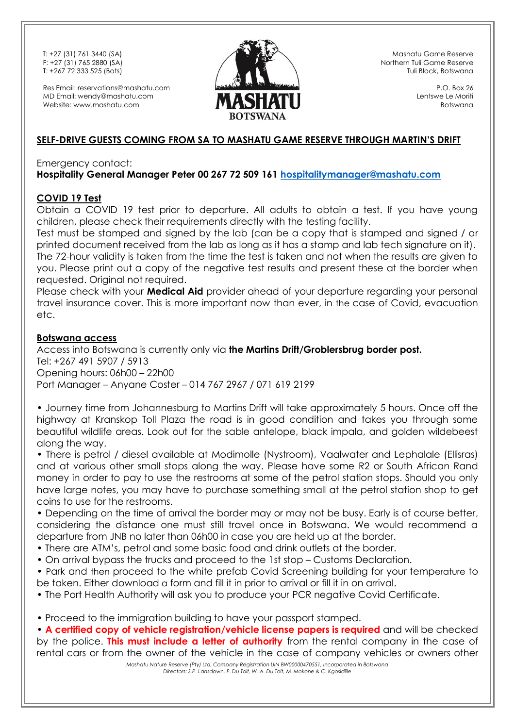Res Email: reservations@mashatu.com MD Email: wendy@mashatu.com Website: www.mashatu.com



Mashatu Game Reserve Northern Tuli Game Reserve Tuli Block, Botswana

> P.O. Box 26 Lentswe Le Moriti Botswana

#### **SELF-DRIVE GUESTS COMING FROM SA TO MASHATU GAME RESERVE THROUGH MARTIN'S DRIFT**

#### Emergency contact: **Hospitality General Manager Peter 00 267 72 509 161 [hospitalitymanager@mashatu.com](mailto:hospitalitymanager@mashatu.com)**

#### **COVID 19 Test**

Obtain a COVID 19 test prior to departure. All adults to obtain a test. If you have young children, please check their requirements directly with the testing facility.

Test must be stamped and signed by the lab (can be a copy that is stamped and signed / or printed document received from the lab as long as it has a stamp and lab tech signature on it). The 72-hour validity is taken from the time the test is taken and not when the results are given to you. Please print out a copy of the negative test results and present these at the border when requested. Original not required.

Please check with your **Medical Aid** provider ahead of your departure regarding your personal travel insurance cover. This is more important now than ever, in the case of Covid, evacuation etc.

#### **Botswana access**

Access into Botswana is currently only via **the Martins Drift/Groblersbrug border post.** Tel: +267 491 5907 / 5913 Opening hours: 06h00 – 22h00 Port Manager – Anyane Coster – 014 767 2967 / 071 619 2199

• Journey time from Johannesburg to Martins Drift will take approximately 5 hours. Once off the highway at Kranskop Toll Plaza the road is in good condition and takes you through some beautiful wildlife areas. Look out for the sable antelope, black impala, and golden wildebeest along the way.

• There is petrol / diesel available at Modimolle (Nystroom), Vaalwater and Lephalale (Ellisras) and at various other small stops along the way. Please have some R2 or South African Rand money in order to pay to use the restrooms at some of the petrol station stops. Should you only have large notes, you may have to purchase something small at the petrol station shop to get coins to use for the restrooms.

• Depending on the time of arrival the border may or may not be busy. Early is of course better, considering the distance one must still travel once in Botswana. We would recommend a departure from JNB no later than 06h00 in case you are held up at the border.

• There are ATM's, petrol and some basic food and drink outlets at the border.

• On arrival bypass the trucks and proceed to the 1st stop – Customs Declaration.

• Park and then proceed to the white prefab Covid Screening building for your temperature to be taken. Either download a form and fill it in prior to arrival or fill it in on arrival.

• The Port Health Authority will ask you to produce your PCR negative Covid Certificate.

• Proceed to the immigration building to have your passport stamped.

• **A certified copy of vehicle registration/vehicle license papers is required** and will be checked by the police. **This must include a letter of authority** from the rental company in the case of rental cars or from the owner of the vehicle in the case of company vehicles or owners other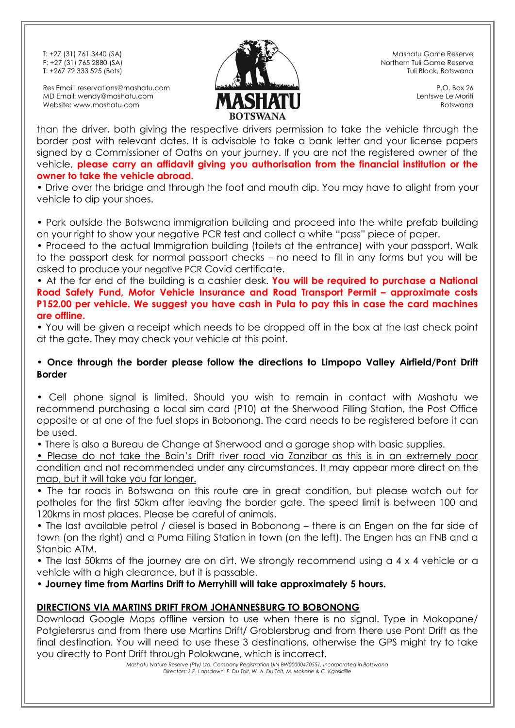Res Email: reservations@mashatu.com MD Email: wendy@mashatu.com Website: www.mashatu.com



Mashatu Game Reserve Northern Tuli Game Reserve Tuli Block, Botswana

> P.O. Box 26 Lentswe Le Moriti Botswana

than the driver, both giving the respective drivers permission to take the vehicle through the border post with relevant dates. It is advisable to take a bank letter and your license papers signed by a Commissioner of Oaths on your journey. If you are not the registered owner of the vehicle, **please carry an affidavit giving you authorisation from the financial institution or the owner to take the vehicle abroad.**

• Drive over the bridge and through the foot and mouth dip. You may have to alight from your vehicle to dip your shoes.

• Park outside the Botswana immigration building and proceed into the white prefab building on your right to show your negative PCR test and collect a white "pass" piece of paper.

• Proceed to the actual Immigration building (toilets at the entrance) with your passport. Walk to the passport desk for normal passport checks – no need to fill in any forms but you will be asked to produce your negative PCR Covid certificate.

• At the far end of the building is a cashier desk. **You will be required to purchase a National Road Safety Fund, Motor Vehicle Insurance and Road Transport Permit – approximate costs P152.00 per vehicle. We suggest you have cash in Pula to pay this in case the card machines are offline.**

• You will be given a receipt which needs to be dropped off in the box at the last check point at the gate. They may check your vehicle at this point.

#### • **Once through the border please follow the directions to Limpopo Valley Airfield/Pont Drift Border**

• Cell phone signal is limited. Should you wish to remain in contact with Mashatu we recommend purchasing a local sim card (P10) at the Sherwood Filling Station, the Post Office opposite or at one of the fuel stops in Bobonong. The card needs to be registered before it can be used.

• There is also a Bureau de Change at Sherwood and a garage shop with basic supplies.

• Please do not take the Bain's Drift river road via Zanzibar as this is in an extremely poor condition and not recommended under any circumstances. It may appear more direct on the map, but it will take you far longer.

• The tar roads in Botswana on this route are in great condition, but please watch out for potholes for the first 50km after leaving the border gate. The speed limit is between 100 and 120kms in most places. Please be careful of animals.

• The last available petrol / diesel is based in Bobonong – there is an Engen on the far side of town (on the right) and a Puma Filling Station in town (on the left). The Engen has an FNB and a Stanbic ATM.

• The last 50kms of the journey are on dirt. We strongly recommend using a 4 x 4 vehicle or a vehicle with a high clearance, but it is passable.

• **Journey time from Martins Drift to Merryhill will take approximately 5 hours.**

# **DIRECTIONS VIA MARTINS DRIFT FROM JOHANNESBURG TO BOBONONG**

Download Google Maps offline version to use when there is no signal. Type in Mokopane/ Potgietersrus and from there use Martins Drift/ Groblersbrug and from there use Pont Drift as the final destination. You will need to use these 3 destinations, otherwise the GPS might try to take you directly to Pont Drift through Polokwane, which is incorrect.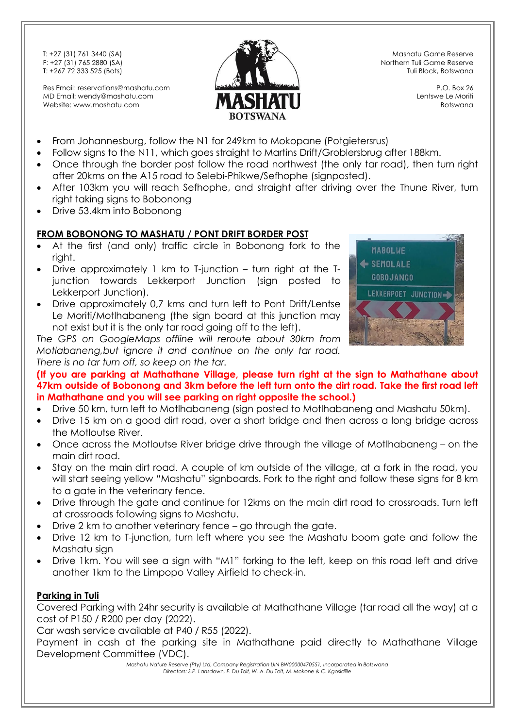Res Email: reservations@mashatu.com MD Email: wendy@mashatu.com Website: www.mashatu.com



Mashatu Game Reserve Northern Tuli Game Reserve Tuli Block, Botswana

> P.O. Box 26 Lentswe Le Moriti Botswana

- From Johannesburg, follow the N1 for 249km to Mokopane (Potgietersrus)
- Follow signs to the N11, which goes straight to Martins Drift/Groblersbrug after 188km.
- Once through the border post follow the road northwest (the only tar road), then turn right after 20kms on the A15 road to Selebi-Phikwe/Sefhophe (signposted).
- After 103km you will reach Sefhophe, and straight after driving over the Thune River, turn right taking signs to Bobonong
- Drive 53.4km into Bobonong

# **FROM BOBONONG TO MASHATU / PONT DRIFT BORDER POST**

- At the first (and only) traffic circle in Bobonong fork to the right.
- Drive approximately 1 km to T-junction turn right at the Tjunction towards Lekkerport Junction (sign posted to Lekkerport Junction).
- Drive approximately 0,7 kms and turn left to Pont Drift/Lentse Le Moriti/Motlhabaneng (the sign board at this junction may not exist but it is the only tar road going off to the left).

*The GPS on GoogleMaps offline will reroute about 30km from Motlabaneng,but ignore it and continue on the only tar road. There is no tar turn off, so keep on the tar.*



**(If you are parking at Mathathane Village, please turn right at the sign to Mathathane about 47km outside of Bobonong and 3km before the left turn onto the dirt road. Take the first road left in Mathathane and you will see parking on right opposite the school.)**

- Drive 50 km, turn left to Motlhabaneng (sign posted to Motlhabaneng and Mashatu 50km).
- Drive 15 km on a good dirt road, over a short bridge and then across a long bridge across the Motloutse River.
- Once across the Motloutse River bridge drive through the village of Motlhabaneng on the main dirt road.
- Stay on the main dirt road. A couple of km outside of the village, at a fork in the road, you will start seeing yellow "Mashatu" signboards. Fork to the right and follow these signs for 8 km to a gate in the veterinary fence.
- Drive through the gate and continue for 12kms on the main dirt road to crossroads. Turn left at crossroads following signs to Mashatu.
- Drive 2 km to another veterinary fence go through the gate.
- Drive 12 km to T-junction, turn left where you see the Mashatu boom gate and follow the Mashatu sian
- Drive 1km. You will see a sign with "M1" forking to the left, keep on this road left and drive another 1km to the Limpopo Valley Airfield to check-in.

# **Parking in Tuli**

Covered Parking with 24hr security is available at Mathathane Village (tar road all the way) at a cost of P150 / R200 per day (2022).

Car wash service available at P40 / R55 (2022).

Payment in cash at the parking site in Mathathane paid directly to Mathathane Village Development Committee (VDC).